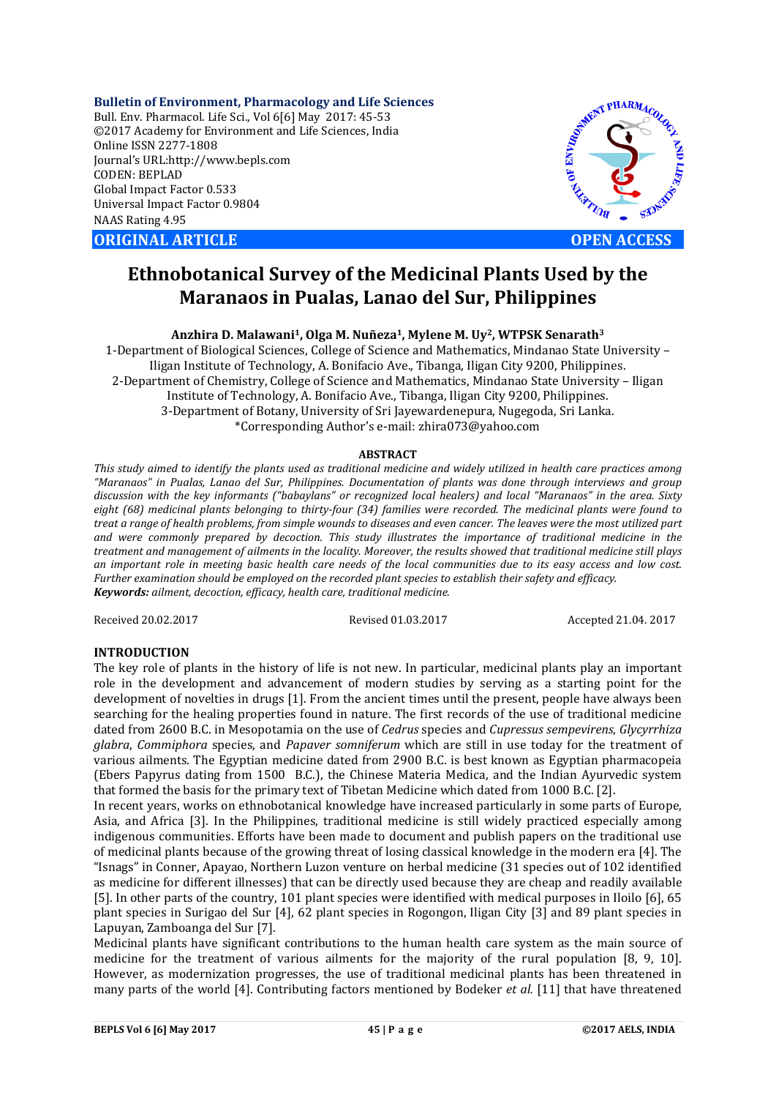**Bulletin of Environment, Pharmacology and Life Sciences** Bull. Env. Pharmacol. Life Sci., Vol 6[6] May 2017: 45-53 ©2017 Academy for Environment and Life Sciences, India Online ISSN 2277-1808 Journal's URL:http://www.bepls.com CODEN: BEPLAD Global Impact Factor 0.533 Universal Impact Factor 0.9804 NAAS Rating 4.95

**ORIGINAL ARTICLE OPEN ACCESS** 



# **Ethnobotanical Survey of the Medicinal Plants Used by the Maranaos in Pualas, Lanao del Sur, Philippines**

**Anzhira D. Malawani1, Olga M. Nuñeza1, Mylene M. Uy2, WTPSK Senarath3**

1-Department of Biological Sciences, College of Science and Mathematics, Mindanao State University – Iligan Institute of Technology, A. Bonifacio Ave., Tibanga, Iligan City 9200, Philippines. 2-Department of Chemistry, College of Science and Mathematics, Mindanao State University – Iligan Institute of Technology, A. Bonifacio Ave., Tibanga, Iligan City 9200, Philippines. 3-Department of Botany, University of Sri Jayewardenepura, Nugegoda, Sri Lanka. \*Corresponding Author's e-mail: zhira073@yahoo.com

## **ABSTRACT**

*This study aimed to identify the plants used as traditional medicine and widely utilized in health care practices among "Maranaos" in Pualas, Lanao del Sur, Philippines. Documentation of plants was done through interviews and group discussion with the key informants ("babaylans" or recognized local healers) and local "Maranaos" in the area. Sixty eight (68) medicinal plants belonging to thirty-four (34) families were recorded. The medicinal plants were found to treat a range of health problems, from simple wounds to diseases and even cancer. The leaves were the most utilized part and were commonly prepared by decoction. This study illustrates the importance of traditional medicine in the treatment and management of ailments in the locality. Moreover, the results showed that traditional medicine still plays an important role in meeting basic health care needs of the local communities due to its easy access and low cost. Further examination should be employed on the recorded plant species to establish their safety and efficacy. Keywords: ailment, decoction, efficacy, health care, traditional medicine.*

Received 20.02.2017 Revised 01.03.2017 Accepted 21.04. 2017

# **INTRODUCTION**

The key role of plants in the history of life is not new. In particular, medicinal plants play an important role in the development and advancement of modern studies by serving as a starting point for the development of novelties in drugs [1]. From the ancient times until the present, people have always been searching for the healing properties found in nature. The first records of the use of traditional medicine dated from 2600 B.C. in Mesopotamia on the use of *Cedrus* species and *Cupressus sempevirens*, *Glycyrrhiza glabra*, *Commiphora* species, and *Papaver somniferum* which are still in use today for the treatment of various ailments. The Egyptian medicine dated from 2900 B.C. is best known as Egyptian pharmacopeia (Ebers Papyrus dating from 1500 B.C.), the Chinese Materia Medica, and the Indian Ayurvedic system that formed the basis for the primary text of Tibetan Medicine which dated from 1000 B.C. [2].

In recent years, works on ethnobotanical knowledge have increased particularly in some parts of Europe, Asia, and Africa [3]. In the Philippines, traditional medicine is still widely practiced especially among indigenous communities. Efforts have been made to document and publish papers on the traditional use of medicinal plants because of the growing threat of losing classical knowledge in the modern era [4]. The "Isnags" in Conner, Apayao, Northern Luzon venture on herbal medicine (31 species out of 102 identified as medicine for different illnesses) that can be directly used because they are cheap and readily available [5]. In other parts of the country, 101 plant species were identified with medical purposes in Iloilo [6], 65 plant species in Surigao del Sur [4], 62 plant species in Rogongon, Iligan City [3] and 89 plant species in Lapuyan, Zamboanga del Sur [7].

Medicinal plants have significant contributions to the human health care system as the main source of medicine for the treatment of various ailments for the majority of the rural population [8, 9, 10]. However, as modernization progresses, the use of traditional medicinal plants has been threatened in many parts of the world [4]. Contributing factors mentioned by Bodeker *et al.* [11] that have threatened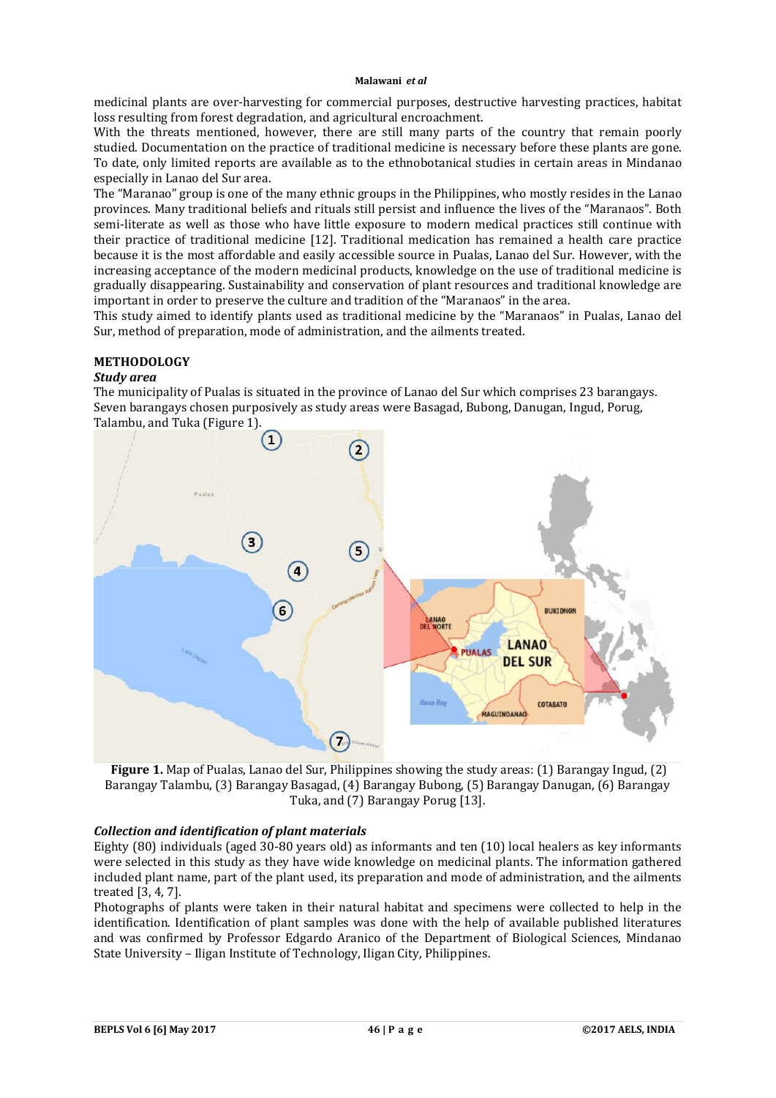medicinal plants are over-harvesting for commercial purposes, destructive harvesting practices, habitat loss resulting from forest degradation, and agricultural encroachment.

With the threats mentioned, however, there are still many parts of the country that remain poorly studied. Documentation on the practice of traditional medicine is necessary before these plants are gone. To date, only limited reports are available as to the ethnobotanical studies in certain areas in Mindanao especially in Lanao del Sur area.

The "Maranao" group is one of the many ethnic groups in the Philippines, who mostly resides in the Lanao provinces. Many traditional beliefs and rituals still persist and influence the lives of the "Maranaos". Both semi-literate as well as those who have little exposure to modern medical practices still continue with their practice of traditional medicine [12]. Traditional medication has remained a health care practice because it is the most affordable and easily accessible source in Pualas, Lanao del Sur. However, with the increasing acceptance of the modern medicinal products, knowledge on the use of traditional medicine is gradually disappearing. Sustainability and conservation of plant resources and traditional knowledge are important in order to preserve the culture and tradition of the "Maranaos" in the area.

This study aimed to identify plants used as traditional medicine by the "Maranaos" in Pualas, Lanao del Sur, method of preparation, mode of administration, and the ailments treated.

# **METHODOLOGY**

# *Study area*

The municipality of Pualas is situated in the province of Lanao del Sur which comprises 23 barangays. Seven barangays chosen purposively as study areas were Basagad, Bubong, Danugan, Ingud, Porug, Talambu, and Tuka (Figure 1).



**Figure 1.** Map of Pualas, Lanao del Sur, Philippines showing the study areas: (1) Barangay Ingud, (2) Barangay Talambu, (3) Barangay Basagad, (4) Barangay Bubong, (5) Barangay Danugan, (6) Barangay Tuka, and (7) Barangay Porug [13].

# *Collection and identification of plant materials*

Eighty (80) individuals (aged 30-80 years old) as informants and ten (10) local healers as key informants were selected in this study as they have wide knowledge on medicinal plants. The information gathered included plant name, part of the plant used, its preparation and mode of administration, and the ailments treated [3, 4, 7].

Photographs of plants were taken in their natural habitat and specimens were collected to help in the identification. Identification of plant samples was done with the help of available published literatures and was confirmed by Professor Edgardo Aranico of the Department of Biological Sciences, Mindanao State University – Iligan Institute of Technology, Iligan City, Philippines.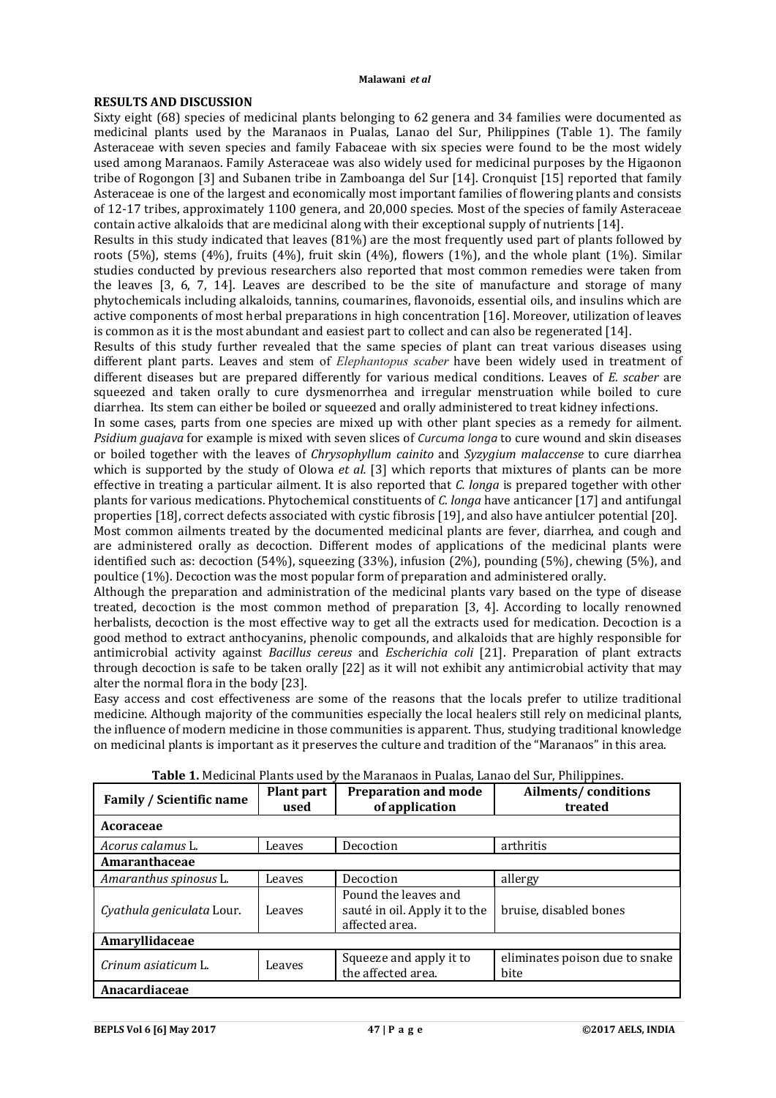#### **RESULTS AND DISCUSSION**

Sixty eight (68) species of medicinal plants belonging to 62 genera and 34 families were documented as medicinal plants used by the Maranaos in Pualas, Lanao del Sur, Philippines (Table 1). The family Asteraceae with seven species and family Fabaceae with six species were found to be the most widely used among Maranaos. Family Asteraceae was also widely used for medicinal purposes by the Higaonon tribe of Rogongon [3] and Subanen tribe in Zamboanga del Sur [14]. Cronquist [15] reported that family Asteraceae is one of the largest and economically most important families of flowering plants and consists of 12-17 tribes, approximately 1100 genera, and 20,000 species. Most of the species of family Asteraceae contain active alkaloids that are medicinal along with their exceptional supply of nutrients [14].

Results in this study indicated that leaves (81%) are the most frequently used part of plants followed by roots (5%), stems (4%), fruits (4%), fruit skin (4%), flowers (1%), and the whole plant (1%). Similar studies conducted by previous researchers also reported that most common remedies were taken from the leaves [3, 6, 7, 14]. Leaves are described to be the site of manufacture and storage of many phytochemicals including alkaloids, tannins, coumarines, flavonoids, essential oils, and insulins which are active components of most herbal preparations in high concentration [16]. Moreover, utilization of leaves is common as it is the most abundant and easiest part to collect and can also be regenerated [14].

Results of this study further revealed that the same species of plant can treat various diseases using different plant parts. Leaves and stem of *Elephantopus scaber* have been widely used in treatment of different diseases but are prepared differently for various medical conditions. Leaves of *E. scaber* are squeezed and taken orally to cure dysmenorrhea and irregular menstruation while boiled to cure diarrhea. Its stem can either be boiled or squeezed and orally administered to treat kidney infections.

In some cases, parts from one species are mixed up with other plant species as a remedy for ailment. *Psidium guajava* for example is mixed with seven slices of *Curcuma longa* to cure wound and skin diseases or boiled together with the leaves of *Chrysophyllum cainito* and *Syzygium malaccense* to cure diarrhea which is supported by the study of Olowa *et al.* [3] which reports that mixtures of plants can be more effective in treating a particular ailment. It is also reported that *C. longa* is prepared together with other plants for various medications. Phytochemical constituents of *C. longa* have anticancer [17] and antifungal properties [18], correct defects associated with cystic fibrosis [19], and also have antiulcer potential [20].

Most common ailments treated by the documented medicinal plants are fever, diarrhea, and cough and are administered orally as decoction. Different modes of applications of the medicinal plants were identified such as: decoction (54%), squeezing (33%), infusion (2%), pounding (5%), chewing (5%), and poultice (1%). Decoction was the most popular form of preparation and administered orally.

Although the preparation and administration of the medicinal plants vary based on the type of disease treated, decoction is the most common method of preparation [3, 4]. According to locally renowned herbalists, decoction is the most effective way to get all the extracts used for medication. Decoction is a good method to extract anthocyanins, phenolic compounds, and alkaloids that are highly responsible for antimicrobial activity against *Bacillus cereus* and *Escherichia coli* [21]. Preparation of plant extracts through decoction is safe to be taken orally [22] as it will not exhibit any antimicrobial activity that may alter the normal flora in the body [23].

Easy access and cost effectiveness are some of the reasons that the locals prefer to utilize traditional medicine. Although majority of the communities especially the local healers still rely on medicinal plants, the influence of modern medicine in those communities is apparent. Thus, studying traditional knowledge on medicinal plants is important as it preserves the culture and tradition of the "Maranaos" in this area.

| <b>Family / Scientific name</b> | <b>Plant part</b><br>used | <b>Preparation and mode</b><br>of application                           | Ailments/conditions<br>treated         |
|---------------------------------|---------------------------|-------------------------------------------------------------------------|----------------------------------------|
| <b>Acoraceae</b>                |                           |                                                                         |                                        |
| Acorus calamus L.               | Leaves                    | Decoction                                                               | arthritis                              |
| Amaranthaceae                   |                           |                                                                         |                                        |
| Amaranthus spinosus L.          | Leaves                    | Decoction                                                               | allergy                                |
| Cyathula geniculata Lour.       | Leaves                    | Pound the leaves and<br>sauté in oil. Apply it to the<br>affected area. | bruise, disabled bones                 |
| Amaryllidaceae                  |                           |                                                                         |                                        |
| Crinum asiaticum L.             | Leaves                    | Squeeze and apply it to<br>the affected area.                           | eliminates poison due to snake<br>bite |
| Anacardiaceae                   |                           |                                                                         |                                        |

**Table 1.** Medicinal Plants used by the Maranaos in Pualas, Lanao del Sur, Philippines.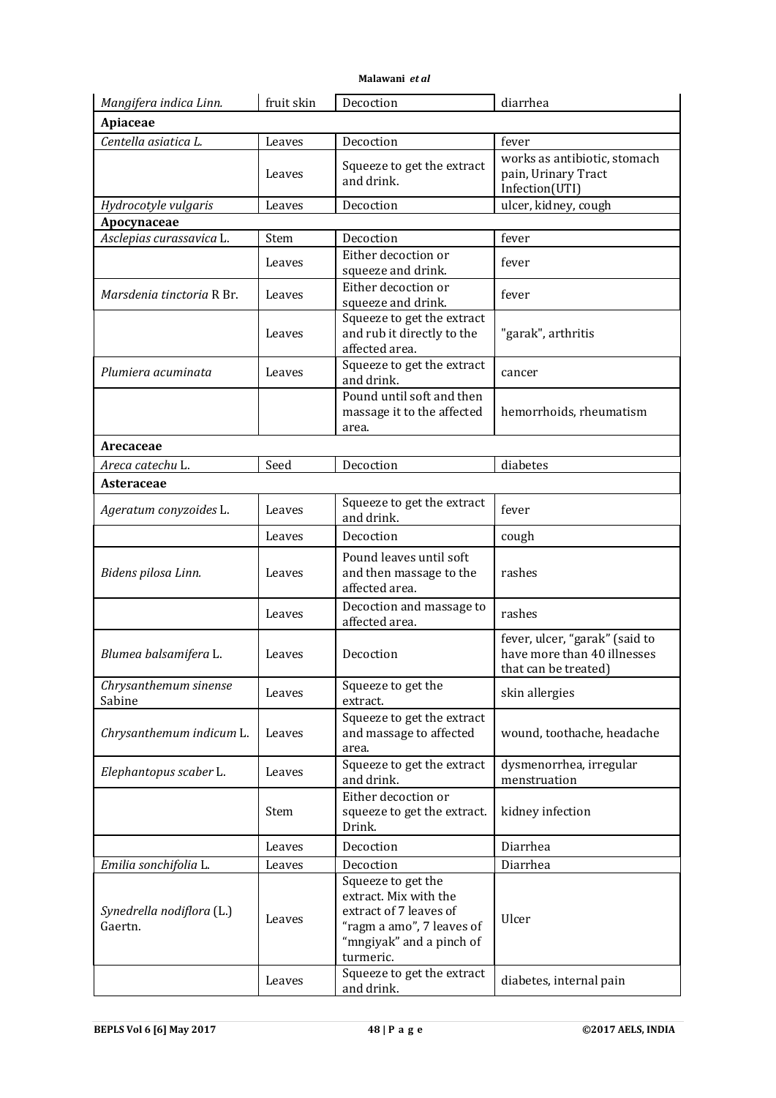| Malawani et al |  |
|----------------|--|
|----------------|--|

| Mangifera indica Linn.               | fruit skin | Decoction                                                                                                                                   | diarrhea                                                                              |
|--------------------------------------|------------|---------------------------------------------------------------------------------------------------------------------------------------------|---------------------------------------------------------------------------------------|
| Apiaceae                             |            |                                                                                                                                             |                                                                                       |
| Centella asiatica L.                 | Leaves     | Decoction                                                                                                                                   | fever                                                                                 |
|                                      | Leaves     | Squeeze to get the extract<br>and drink.                                                                                                    | works as antibiotic, stomach<br>pain, Urinary Tract<br>Infection(UTI)                 |
| Hydrocotyle vulgaris                 | Leaves     | Decoction                                                                                                                                   | ulcer, kidney, cough                                                                  |
| Apocynaceae                          |            |                                                                                                                                             |                                                                                       |
| Asclepias curassavica L.             | Stem       | Decoction                                                                                                                                   | fever                                                                                 |
|                                      | Leaves     | Either decoction or<br>squeeze and drink.                                                                                                   | fever                                                                                 |
| Marsdenia tinctoria R Br.            | Leaves     | Either decoction or<br>squeeze and drink.                                                                                                   | fever                                                                                 |
|                                      | Leaves     | Squeeze to get the extract<br>and rub it directly to the<br>affected area.                                                                  | "garak", arthritis                                                                    |
| Plumiera acuminata                   | Leaves     | Squeeze to get the extract<br>and drink.                                                                                                    | cancer                                                                                |
|                                      |            | Pound until soft and then<br>massage it to the affected<br>area.                                                                            | hemorrhoids, rheumatism                                                               |
| Arecaceae                            |            |                                                                                                                                             |                                                                                       |
| Areca catechu L.                     | Seed       | Decoction                                                                                                                                   | diabetes                                                                              |
| Asteraceae                           |            |                                                                                                                                             |                                                                                       |
| Ageratum conyzoides L.               | Leaves     | Squeeze to get the extract<br>and drink.                                                                                                    | fever                                                                                 |
|                                      | Leaves     | Decoction                                                                                                                                   | cough                                                                                 |
| Bidens pilosa Linn.                  | Leaves     | Pound leaves until soft<br>and then massage to the<br>affected area.                                                                        | rashes                                                                                |
|                                      | Leaves     | Decoction and massage to<br>affected area.                                                                                                  | rashes                                                                                |
| Blumea balsamifera L.                | Leaves     | Decoction                                                                                                                                   | fever, ulcer, "garak" (said to<br>have more than 40 illnesses<br>that can be treated) |
| Chrysanthemum sinense<br>Sabine      | Leaves     | Squeeze to get the<br>extract.                                                                                                              | skin allergies                                                                        |
| Chrysanthemum indicum L.             | Leaves     | Squeeze to get the extract<br>and massage to affected<br>area.                                                                              | wound, toothache, headache                                                            |
| Elephantopus scaber L.               | Leaves     | Squeeze to get the extract<br>and drink.                                                                                                    | dysmenorrhea, irregular<br>menstruation                                               |
|                                      | Stem       | Either decoction or<br>squeeze to get the extract.<br>Drink.                                                                                | kidney infection                                                                      |
|                                      | Leaves     | Decoction                                                                                                                                   | Diarrhea                                                                              |
| Emilia sonchifolia L.                | Leaves     | Decoction                                                                                                                                   | Diarrhea                                                                              |
| Synedrella nodiflora (L.)<br>Gaertn. | Leaves     | Squeeze to get the<br>extract. Mix with the<br>extract of 7 leaves of<br>"ragm a amo", 7 leaves of<br>"mngiyak" and a pinch of<br>turmeric. | Ulcer                                                                                 |
|                                      | Leaves     | Squeeze to get the extract<br>and drink.                                                                                                    | diabetes, internal pain                                                               |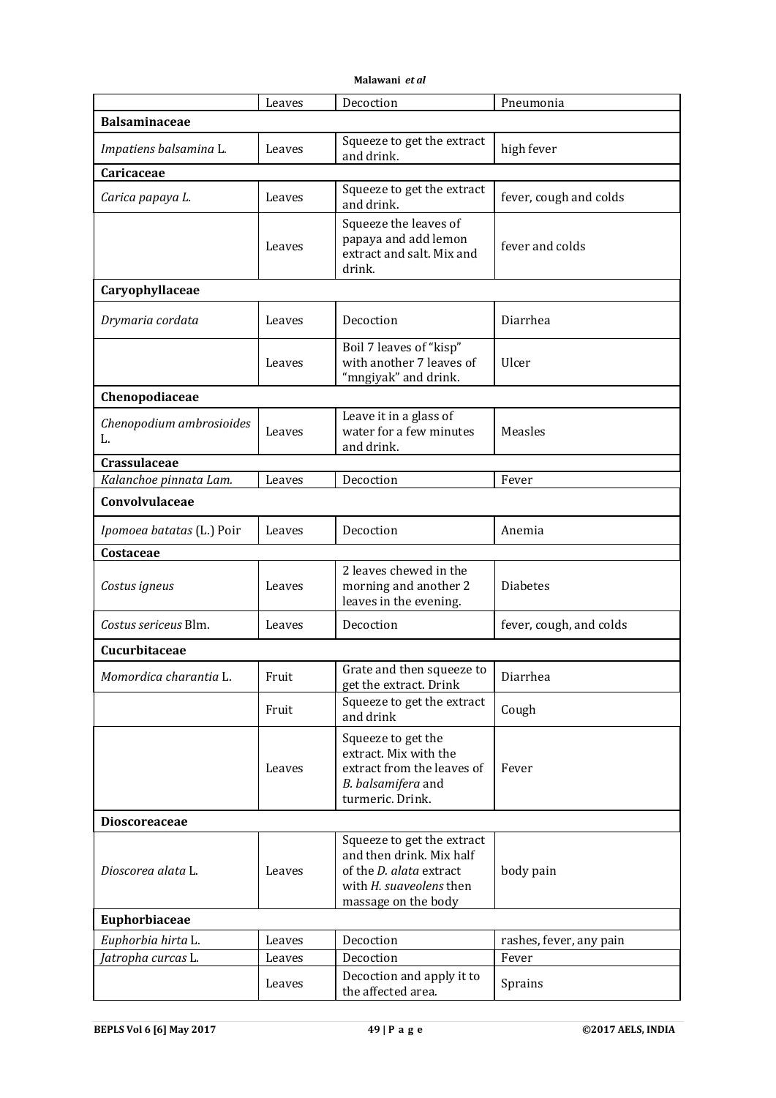|                                | Leaves | Decoction                                                                                                                                         | Pneumonia               |
|--------------------------------|--------|---------------------------------------------------------------------------------------------------------------------------------------------------|-------------------------|
| <b>Balsaminaceae</b>           |        |                                                                                                                                                   |                         |
| Impatiens balsamina L.         | Leaves | Squeeze to get the extract<br>and drink.                                                                                                          | high fever              |
| Caricaceae                     |        |                                                                                                                                                   |                         |
| Carica papaya L.               | Leaves | Squeeze to get the extract<br>and drink.                                                                                                          | fever, cough and colds  |
|                                | Leaves | Squeeze the leaves of<br>papaya and add lemon<br>extract and salt. Mix and<br>drink.                                                              | fever and colds         |
| Caryophyllaceae                |        |                                                                                                                                                   |                         |
| Drymaria cordata               | Leaves | Decoction                                                                                                                                         | Diarrhea                |
|                                | Leaves | Boil 7 leaves of "kisp"<br>with another 7 leaves of<br>"mngiyak" and drink.                                                                       | Ulcer                   |
| Chenopodiaceae                 |        |                                                                                                                                                   |                         |
| Chenopodium ambrosioides<br>L. | Leaves | Leave it in a glass of<br>water for a few minutes<br>and drink.                                                                                   | Measles                 |
| Crassulaceae                   |        |                                                                                                                                                   |                         |
| Kalanchoe pinnata Lam.         | Leaves | Decoction                                                                                                                                         | Fever                   |
| Convolvulaceae                 |        |                                                                                                                                                   |                         |
| Ipomoea batatas (L.) Poir      | Leaves | Decoction                                                                                                                                         | Anemia                  |
| Costaceae                      |        |                                                                                                                                                   |                         |
| Costus igneus                  | Leaves | 2 leaves chewed in the<br>morning and another 2<br>leaves in the evening.                                                                         | <b>Diabetes</b>         |
| Costus sericeus Blm.           | Leaves | Decoction                                                                                                                                         | fever, cough, and colds |
| Cucurbitaceae                  |        |                                                                                                                                                   |                         |
| Momordica charantia L.         | Fruit  | Grate and then squeeze to<br>get the extract. Drink                                                                                               | Diarrhea                |
|                                | Fruit  | Squeeze to get the extract<br>and drink                                                                                                           | Cough                   |
|                                | Leaves | Squeeze to get the<br>extract. Mix with the<br>extract from the leaves of<br>B. balsamifera and<br>turmeric. Drink.                               | Fever                   |
| <b>Dioscoreaceae</b>           |        |                                                                                                                                                   |                         |
| Dioscorea alata L.             | Leaves | Squeeze to get the extract<br>and then drink. Mix half<br>of the <i>D. alata</i> extract<br>with <i>H. suaveolens</i> then<br>massage on the body | body pain               |
| Euphorbiaceae                  |        |                                                                                                                                                   |                         |
| Euphorbia hirta L.             | Leaves | Decoction                                                                                                                                         | rashes, fever, any pain |
| Jatropha curcas L.             | Leaves | Decoction                                                                                                                                         | Fever                   |
|                                | Leaves | Decoction and apply it to<br>the affected area.                                                                                                   | Sprains                 |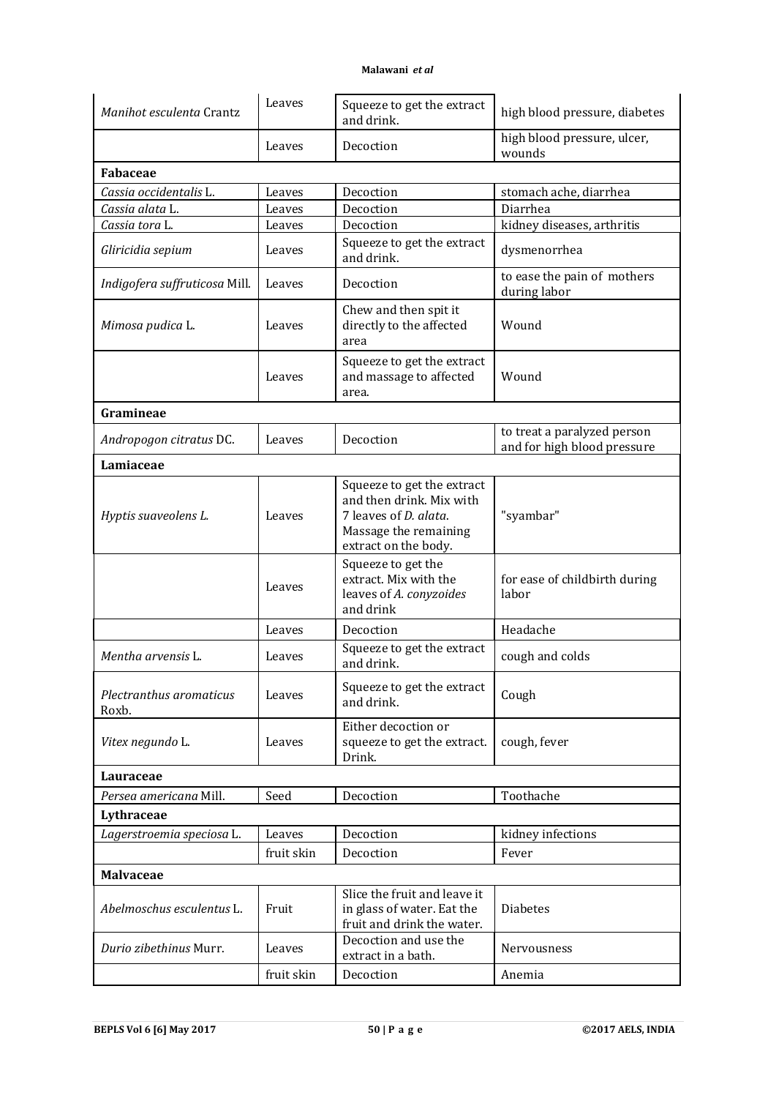| Manihot esculenta Crantz         | Leaves     | Squeeze to get the extract<br>and drink.                                                                                                 | high blood pressure, diabetes                              |
|----------------------------------|------------|------------------------------------------------------------------------------------------------------------------------------------------|------------------------------------------------------------|
|                                  | Leaves     | Decoction                                                                                                                                | high blood pressure, ulcer,<br>wounds                      |
| <b>Fabaceae</b>                  |            |                                                                                                                                          |                                                            |
| Cassia occidentalis L.           | Leaves     | Decoction                                                                                                                                | stomach ache, diarrhea                                     |
| Cassia alata L.                  | Leaves     | Decoction                                                                                                                                | Diarrhea                                                   |
| Cassia tora L.                   | Leaves     | Decoction                                                                                                                                | kidney diseases, arthritis                                 |
| Gliricidia sepium                | Leaves     | Squeeze to get the extract<br>and drink.                                                                                                 | dysmenorrhea                                               |
| Indigofera suffruticosa Mill.    | Leaves     | Decoction                                                                                                                                | to ease the pain of mothers<br>during labor                |
| Mimosa pudica L.                 | Leaves     | Chew and then spit it<br>directly to the affected<br>area                                                                                | Wound                                                      |
|                                  | Leaves     | Squeeze to get the extract<br>and massage to affected<br>area.                                                                           | Wound                                                      |
| Gramineae                        |            |                                                                                                                                          |                                                            |
| Andropogon citratus DC.          | Leaves     | Decoction                                                                                                                                | to treat a paralyzed person<br>and for high blood pressure |
| Lamiaceae                        |            |                                                                                                                                          |                                                            |
| Hyptis suaveolens L.             | Leaves     | Squeeze to get the extract<br>and then drink. Mix with<br>7 leaves of <i>D. alata</i> .<br>Massage the remaining<br>extract on the body. | "syambar"                                                  |
|                                  | Leaves     | Squeeze to get the<br>extract. Mix with the<br>leaves of A. conyzoides<br>and drink                                                      | for ease of childbirth during<br>labor                     |
|                                  | Leaves     | Decoction                                                                                                                                | Headache                                                   |
| Mentha arvensis L.               | Leaves     | Squeeze to get the extract<br>and drink.                                                                                                 | cough and colds                                            |
| Plectranthus aromaticus<br>Roxb. | Leaves     | Squeeze to get the extract<br>and drink.                                                                                                 | Cough                                                      |
| Vitex negundo L.                 | Leaves     | Either decoction or<br>squeeze to get the extract.<br>Drink.                                                                             | cough, fever                                               |
| Lauraceae                        |            |                                                                                                                                          |                                                            |
| Persea americana Mill.           | Seed       | Decoction                                                                                                                                | Toothache                                                  |
| Lythraceae                       |            |                                                                                                                                          |                                                            |
| Lagerstroemia speciosa L.        | Leaves     | Decoction                                                                                                                                | kidney infections                                          |
|                                  | fruit skin | Decoction                                                                                                                                | Fever                                                      |
| <b>Malvaceae</b>                 |            |                                                                                                                                          |                                                            |
| Abelmoschus esculentus L.        | Fruit      | Slice the fruit and leave it<br>in glass of water. Eat the<br>fruit and drink the water.                                                 | <b>Diabetes</b>                                            |
| Durio zibethinus Murr.           | Leaves     | Decoction and use the<br>extract in a bath.                                                                                              | Nervousness                                                |
|                                  | fruit skin | Decoction                                                                                                                                | Anemia                                                     |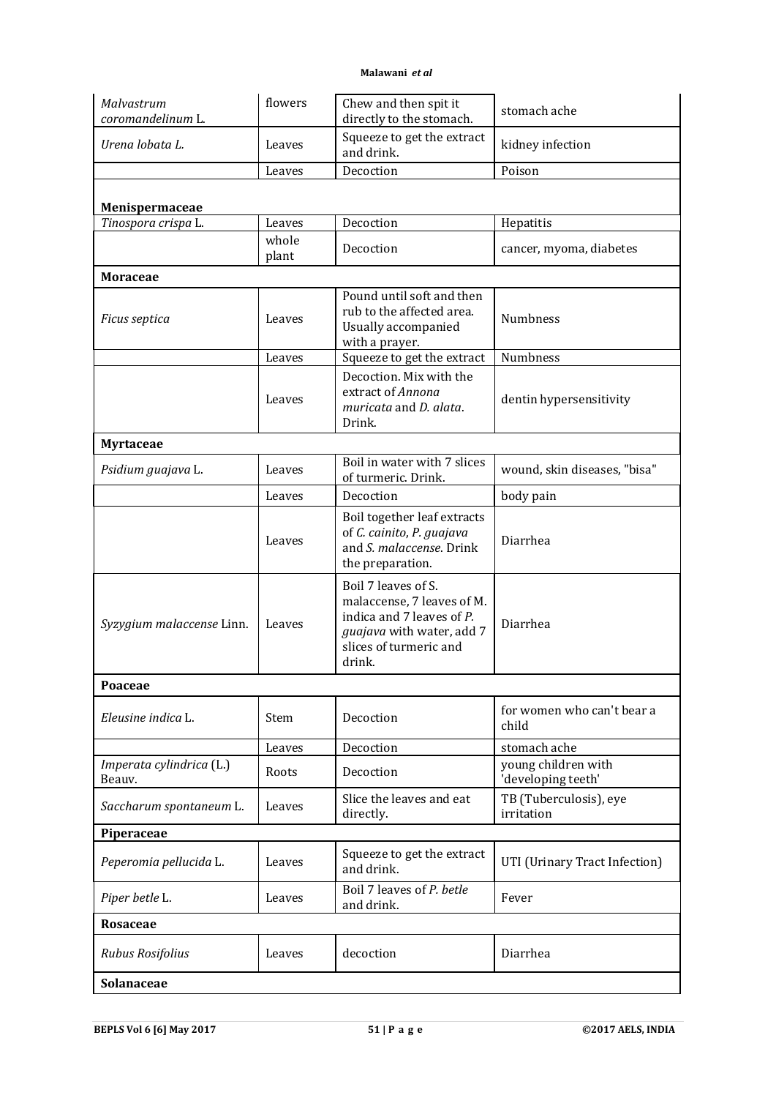| Malvastrum<br>coromandelinum L.    | flowers        | Chew and then spit it<br>directly to the stomach.                                                                                               | stomach ache                              |
|------------------------------------|----------------|-------------------------------------------------------------------------------------------------------------------------------------------------|-------------------------------------------|
| Urena lobata L.                    | Leaves         | Squeeze to get the extract<br>and drink.                                                                                                        | kidney infection                          |
|                                    | Leaves         | Decoction                                                                                                                                       | Poison                                    |
| Menispermaceae                     |                |                                                                                                                                                 |                                           |
| Tinospora crispa L.                | Leaves         | Decoction                                                                                                                                       | Hepatitis                                 |
|                                    | whole<br>plant | Decoction                                                                                                                                       | cancer, myoma, diabetes                   |
| <b>Moraceae</b>                    |                |                                                                                                                                                 |                                           |
| Ficus septica                      | Leaves         | Pound until soft and then<br>rub to the affected area.<br>Usually accompanied<br>with a prayer.                                                 | Numbness                                  |
|                                    | Leaves         | Squeeze to get the extract                                                                                                                      | Numbness                                  |
|                                    | Leaves         | Decoction. Mix with the<br>extract of Annona<br>muricata and D. alata.<br>Drink.                                                                | dentin hypersensitivity                   |
| <b>Myrtaceae</b>                   |                |                                                                                                                                                 |                                           |
| Psidium guajava L.                 | Leaves         | Boil in water with 7 slices<br>of turmeric. Drink.                                                                                              | wound, skin diseases, "bisa"              |
|                                    | Leaves         | Decoction                                                                                                                                       | body pain                                 |
|                                    | Leaves         | Boil together leaf extracts<br>of C. cainito, P. guajava<br>and S. malaccense. Drink<br>the preparation.                                        | Diarrhea                                  |
| Syzygium malaccense Linn.          | Leaves         | Boil 7 leaves of S.<br>malaccense, 7 leaves of M.<br>indica and 7 leaves of P.<br>guajava with water, add 7<br>slices of turmeric and<br>drink. | Diarrhea                                  |
| Poaceae                            |                |                                                                                                                                                 |                                           |
| Eleusine indica L.                 | Stem           | Decoction                                                                                                                                       | for women who can't bear a<br>child       |
|                                    | Leaves         | Decoction                                                                                                                                       | stomach ache                              |
| Imperata cylindrica (L.)<br>Beauv. | Roots          | Decoction                                                                                                                                       | young children with<br>'developing teeth' |
| Saccharum spontaneum L.            | Leaves         | Slice the leaves and eat<br>directly.                                                                                                           | TB (Tuberculosis), eye<br>irritation      |
| Piperaceae                         |                |                                                                                                                                                 |                                           |
| Peperomia pellucida L.             | Leaves         | Squeeze to get the extract<br>and drink.                                                                                                        | UTI (Urinary Tract Infection)             |
| Piper betle L.                     | Leaves         | Boil 7 leaves of P. betle<br>and drink.                                                                                                         | Fever                                     |
| Rosaceae                           |                |                                                                                                                                                 |                                           |
| Rubus Rosifolius                   | Leaves         | decoction                                                                                                                                       | Diarrhea                                  |
| Solanaceae                         |                |                                                                                                                                                 |                                           |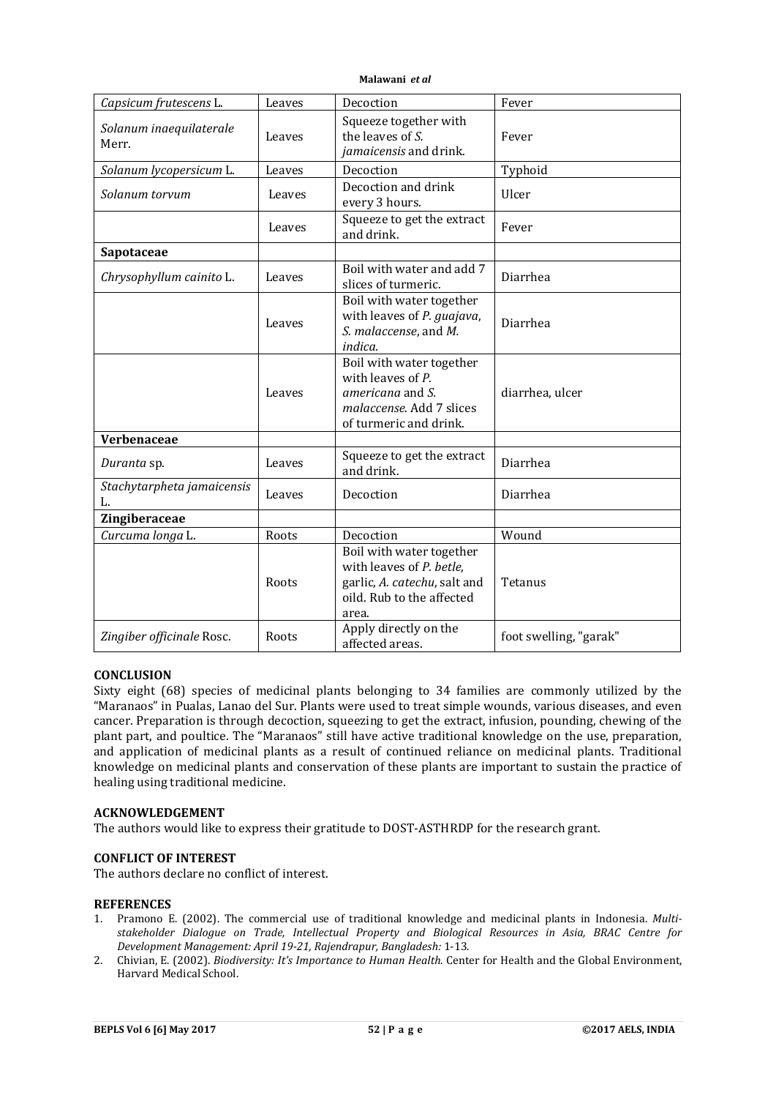| Capsicum frutescens L.           | Leaves | Decoction                                                                                                                  | Fever                  |
|----------------------------------|--------|----------------------------------------------------------------------------------------------------------------------------|------------------------|
| Solanum inaequilaterale<br>Merr. | Leaves | Squeeze together with<br>the leaves of S.<br>jamaicensis and drink.                                                        | Fever                  |
| Solanum lycopersicum L.          | Leaves | Decoction                                                                                                                  | Typhoid                |
| Solanum torvum                   | Leaves | Decoction and drink<br>every 3 hours.                                                                                      | Ulcer                  |
|                                  | Leaves | Squeeze to get the extract<br>and drink.                                                                                   | Fever                  |
| Sapotaceae                       |        |                                                                                                                            |                        |
| Chrysophyllum cainito L.         | Leaves | Boil with water and add 7<br>slices of turmeric.                                                                           | Diarrhea               |
|                                  | Leaves | Boil with water together<br>with leaves of P. guajava,<br>S. malaccense, and M.<br>indica.                                 | Diarrhea               |
|                                  | Leaves | Boil with water together<br>with leaves of $P$ .<br>americana and S.<br>malaccense. Add 7 slices<br>of turmeric and drink. | diarrhea, ulcer        |
| Verbenaceae                      |        |                                                                                                                            |                        |
| Duranta sp.                      | Leaves | Squeeze to get the extract<br>and drink.                                                                                   | Diarrhea               |
| Stachytarpheta jamaicensis<br>L. | Leaves | Decoction                                                                                                                  | Diarrhea               |
| Zingiberaceae                    |        |                                                                                                                            |                        |
| Curcuma longa L.                 | Roots  | Decoction                                                                                                                  | Wound                  |
|                                  | Roots  | Boil with water together<br>with leaves of P. betle,<br>garlic, A. catechu, salt and<br>oild. Rub to the affected<br>area. | Tetanus                |
| Zingiber officinale Rosc.        | Roots  | Apply directly on the<br>affected areas.                                                                                   | foot swelling, "garak" |

# **CONCLUSION**

Sixty eight (68) species of medicinal plants belonging to 34 families are commonly utilized by the "Maranaos" in Pualas, Lanao del Sur. Plants were used to treat simple wounds, various diseases, and even cancer. Preparation is through decoction, squeezing to get the extract, infusion, pounding, chewing of the plant part, and poultice. The "Maranaos" still have active traditional knowledge on the use, preparation, and application of medicinal plants as a result of continued reliance on medicinal plants. Traditional knowledge on medicinal plants and conservation of these plants are important to sustain the practice of healing using traditional medicine.

## **ACKNOWLEDGEMENT**

The authors would like to express their gratitude to DOST-ASTHRDP for the research grant.

#### **CONFLICT OF INTEREST**

The authors declare no conflict of interest.

#### **REFERENCES**

- 1. Pramono E. (2002). The commercial use of traditional knowledge and medicinal plants in Indonesia. *Multistakeholder Dialogue on Trade, Intellectual Property and Biological Resources in Asia, BRAC Centre for Development Management: April 19-21, Rajendrapur, Bangladesh:* 1-13.
- 2. Chivian, E. (2002). *Biodiversity: It's Importance to Human Health*. Center for Health and the Global Environment, Harvard Medical School.